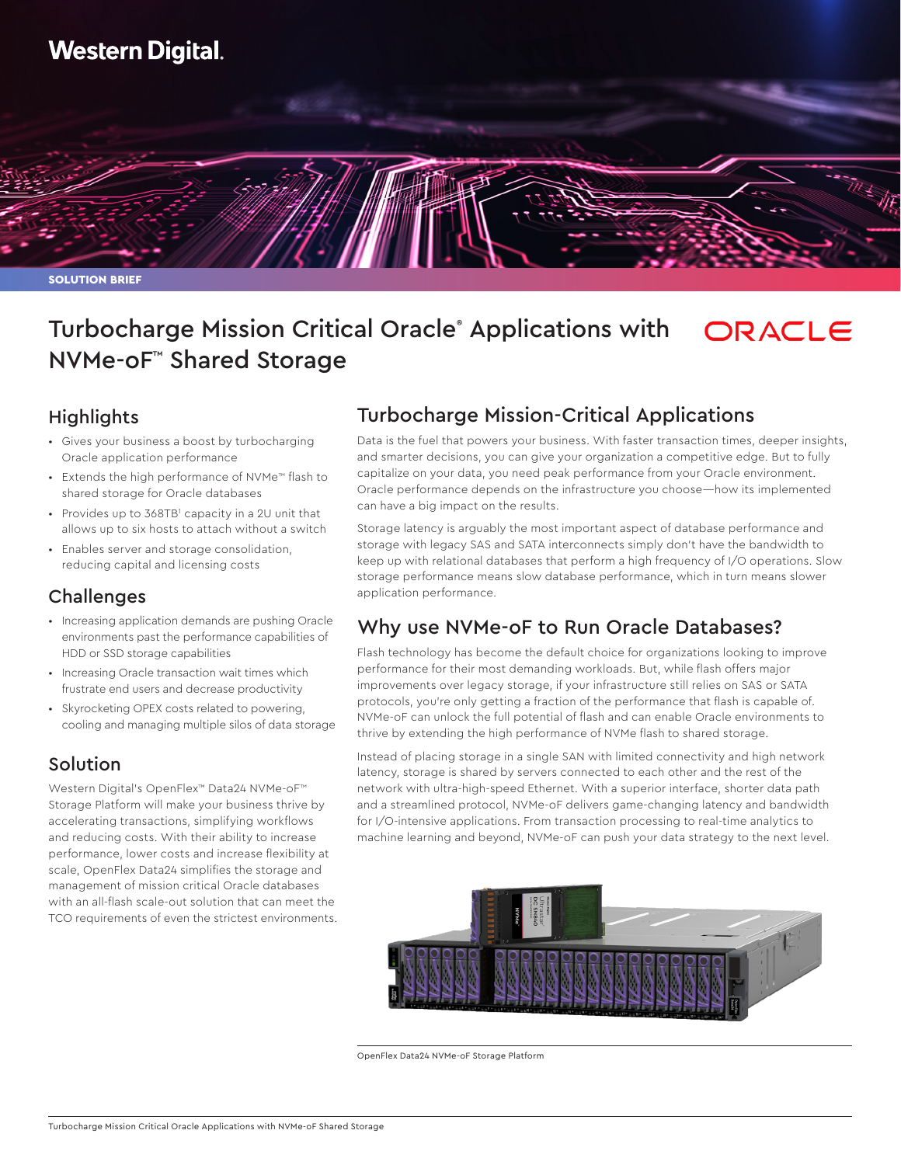# **Western Digital.**

SOLUTION BRIEF

#### Turbocharge Mission Critical Oracle® Applications with ORACLE NVMe-oF™ Shared Storage

#### **Highlights**

- Gives your business a boost by turbocharging Oracle application performance
- Extends the high performance of NVMe™ flash to shared storage for Oracle databases
- Provides up to 368TB<sup>1</sup> capacity in a 2U unit that allows up to six hosts to attach without a switch
- Enables server and storage consolidation, reducing capital and licensing costs

### Challenges

- Increasing application demands are pushing Oracle environments past the performance capabilities of HDD or SSD storage capabilities
- Increasing Oracle transaction wait times which frustrate end users and decrease productivity
- Skyrocketing OPEX costs related to powering, cooling and managing multiple silos of data storage

### Solution

Western Digital's OpenFlex™ Data24 NVMe-oF™ Storage Platform will make your business thrive by accelerating transactions, simplifying workflows and reducing costs. With their ability to increase performance, lower costs and increase flexibility at scale, OpenFlex Data24 simplifies the storage and management of mission critical Oracle databases with an all-flash scale-out solution that can meet the TCO requirements of even the strictest environments.

# Turbocharge Mission-Critical Applications

Data is the fuel that powers your business. With faster transaction times, deeper insights, and smarter decisions, you can give your organization a competitive edge. But to fully capitalize on your data, you need peak performance from your Oracle environment. Oracle performance depends on the infrastructure you choose—how its implemented can have a big impact on the results.

Storage latency is arguably the most important aspect of database performance and storage with legacy SAS and SATA interconnects simply don't have the bandwidth to keep up with relational databases that perform a high frequency of I/O operations. Slow storage performance means slow database performance, which in turn means slower application performance.

# Why use NVMe-oF to Run Oracle Databases?

Flash technology has become the default choice for organizations looking to improve performance for their most demanding workloads. But, while flash offers major improvements over legacy storage, if your infrastructure still relies on SAS or SATA protocols, you're only getting a fraction of the performance that flash is capable of. NVMe-oF can unlock the full potential of flash and can enable Oracle environments to thrive by extending the high performance of NVMe flash to shared storage.

Instead of placing storage in a single SAN with limited connectivity and high network latency, storage is shared by servers connected to each other and the rest of the network with ultra-high-speed Ethernet. With a superior interface, shorter data path and a streamlined protocol, NVMe-oF delivers game-changing latency and bandwidth for I/O-intensive applications. From transaction processing to real-time analytics to machine learning and beyond, NVMe-oF can push your data strategy to the next level.



OpenFlex Data24 NVMe-oF Storage Platform